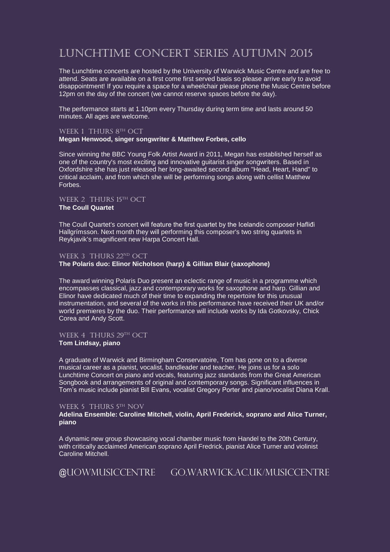# Lunchtime Concert Series Autumn 2015

The Lunchtime concerts are hosted by the University of Warwick Music Centre and are free to attend. Seats are available on a first come first served basis so please arrive early to avoid disappointment! If you require a space for a wheelchair please phone the Music Centre before 12pm on the day of the concert (we cannot reserve spaces before the day).

The performance starts at 1.10pm every Thursday during term time and lasts around 50 minutes. All ages are welcome.

## WEEK 1 THURS 8TH OCT

#### **Megan Henwood, singer songwriter & Matthew Forbes, cello**

Since winning the BBC Young Folk Artist Award in 2011, Megan has established herself as one of the country's most exciting and innovative guitarist singer songwriters. Based in Oxfordshire she has just released her long-awaited second album "Head, Heart, Hand" to critical acclaim, and from which she will be performing songs along with cellist Matthew **Forbes** 

#### WEEK 2 THURS 15TH OCT

# **The Coull Quartet**

The Coull Quartet's concert will feature the first quartet by the Icelandic composer Hafliđi Hallgrímsson. Next month they will performing this composer's two string quartets in Reykjavik's magnificent new Harpa Concert Hall.

## WEEK 3 THURS 22ND OCT

# **The Polaris duo: Elinor Nicholson (harp) & Gillian Blair (saxophone)**

The award winning Polaris Duo present an eclectic range of music in a programme which encompasses classical, jazz and contemporary works for saxophone and harp. Gillian and Elinor have dedicated much of their time to expanding the repertoire for this unusual instrumentation, and several of the works in this performance have received their UK and/or world premieres by the duo. Their performance will include works by Ida Gotkovsky, Chick Corea and Andy Scott.

# WEEK 4 THURS 29TH OCT **Tom Lindsay, piano**

A graduate of Warwick and Birmingham Conservatoire, Tom has gone on to a diverse musical career as a pianist, vocalist, bandleader and teacher. He joins us for a solo Lunchtime Concert on piano and vocals, featuring jazz standards from the Great American Songbook and arrangements of original and contemporary songs. Significant influences in Tom's music include pianist Bill Evans, vocalist Gregory Porter and piano/vocalist Diana Krall.

## WEEK 5 THURS 5TH NOV

## **Adelina Ensemble: Caroline Mitchell, violin, April Frederick, soprano and Alice Turner, piano**

A dynamic new group showcasing vocal chamber music from Handel to the 20th Century, with critically acclaimed American soprano April Fredrick, pianist Alice Turner and violinist Caroline Mitchell.

@UoWMusicCentre go.warwick.ac.uk/musiccentre